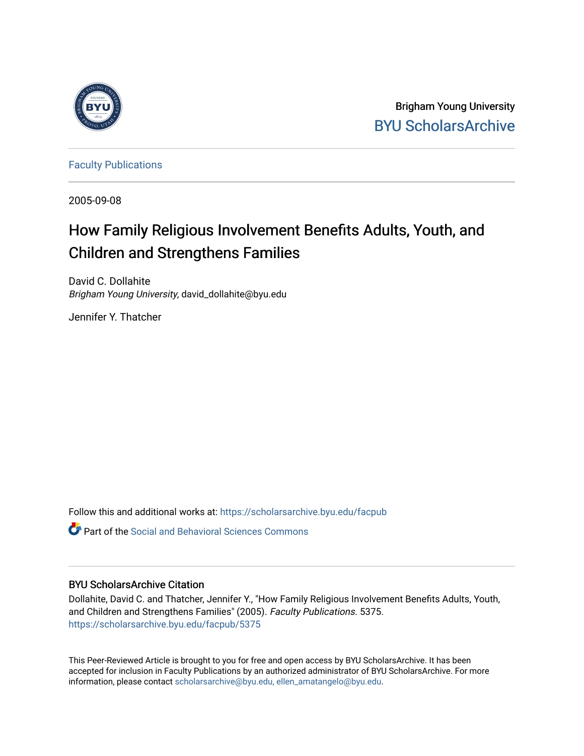

Brigham Young University [BYU ScholarsArchive](https://scholarsarchive.byu.edu/) 

[Faculty Publications](https://scholarsarchive.byu.edu/facpub)

2005-09-08

# How Family Religious Involvement Benefits Adults, Youth, and Children and Strengthens Families

David C. Dollahite Brigham Young University, david\_dollahite@byu.edu

Jennifer Y. Thatcher

Follow this and additional works at: [https://scholarsarchive.byu.edu/facpub](https://scholarsarchive.byu.edu/facpub?utm_source=scholarsarchive.byu.edu%2Ffacpub%2F5375&utm_medium=PDF&utm_campaign=PDFCoverPages) 

**Part of the Social and Behavioral Sciences Commons** 

#### BYU ScholarsArchive Citation

Dollahite, David C. and Thatcher, Jennifer Y., "How Family Religious Involvement Benefits Adults, Youth, and Children and Strengthens Families" (2005). Faculty Publications. 5375. [https://scholarsarchive.byu.edu/facpub/5375](https://scholarsarchive.byu.edu/facpub/5375?utm_source=scholarsarchive.byu.edu%2Ffacpub%2F5375&utm_medium=PDF&utm_campaign=PDFCoverPages)

This Peer-Reviewed Article is brought to you for free and open access by BYU ScholarsArchive. It has been accepted for inclusion in Faculty Publications by an authorized administrator of BYU ScholarsArchive. For more information, please contact [scholarsarchive@byu.edu, ellen\\_amatangelo@byu.edu.](mailto:scholarsarchive@byu.edu,%20ellen_amatangelo@byu.edu)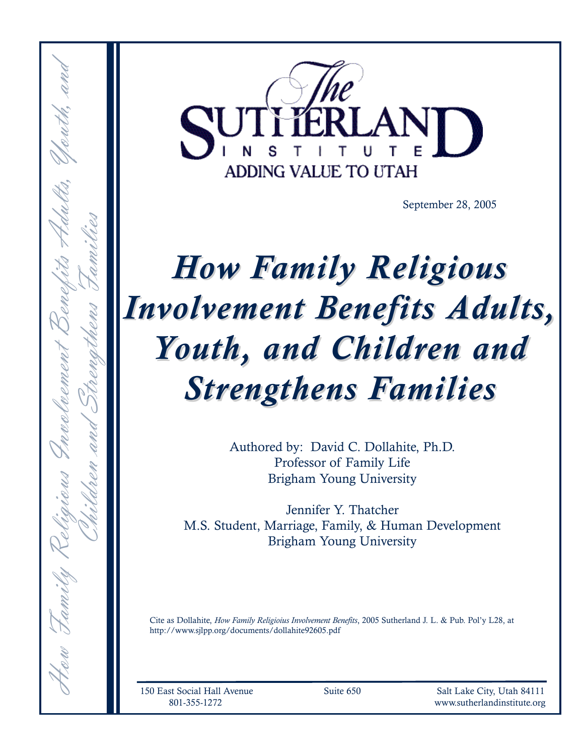

September 28, 2005

# How Family Religious Involvement Benefits Adults, Youth, and Children and Strengthens Families

Authored by: David C. Dollahite, Ph.D. Professor of Family Life Brigham Young University

Jennifer Y. Thatcher M.S. Student, Marriage, Family, & Human Development Brigham Young University

Cite as Dollahite, How Family Religioius Involvement Benefits, 2005 Sutherland J. L. & Pub. Pol'y L28, at http://www.sjlpp.org/documents/dollahite92605.pdf

How Family Religious Involvement Benefits Adults, Youth, and

Children and Strengthens Families

150 East Social Hall Avenue Suite 650 Salt Lake City, Utah 84111 801-355-1272 www.sutherlandinstitute.org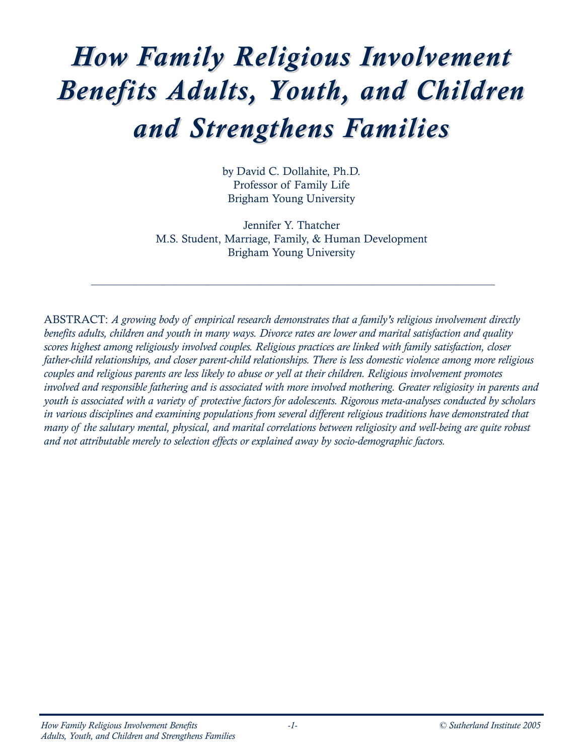# How Family Religious Involvement Benefits Adults, Youth, and Children and Strengthens Families

by David C. Dollahite, Ph.D. Professor of Family Life Brigham Young University

Jennifer Y. Thatcher M.S. Student, Marriage, Family, & Human Development Brigham Young University

 $\_$  ,  $\_$  ,  $\_$  ,  $\_$  ,  $\_$  ,  $\_$  ,  $\_$  ,  $\_$  ,  $\_$  ,  $\_$  ,  $\_$  ,  $\_$  ,  $\_$  ,  $\_$  ,  $\_$  ,  $\_$  ,  $\_$  ,  $\_$  ,  $\_$  ,  $\_$  ,  $\_$  ,  $\_$  ,  $\_$  ,  $\_$  ,  $\_$  ,  $\_$  ,  $\_$  ,  $\_$  ,  $\_$  ,  $\_$  ,  $\_$  ,  $\_$  ,  $\_$  ,  $\_$  ,  $\_$  ,  $\_$  ,  $\_$  ,

ABSTRACT: A growing body of empirical research demonstrates that a family's religious involvement directly benefits adults, children and youth in many ways. Divorce rates are lower and marital satisfaction and quality scores highest among religiously involved couples. Religious practices are linked with family satisfaction, closer father-child relationships, and closer parent-child relationships. There is less domestic violence among more religious couples and religious parents are less likely to abuse or yell at their children. Religious involvement promotes involved and responsible fathering and is associated with more involved mothering. Greater religiosity in parents and youth is associated with a variety of protective factors for adolescents. Rigorous meta-analyses conducted by scholars in various disciplines and examining populations from several different religious traditions have demonstrated that many of the salutary mental, physical, and marital correlations between religiosity and well-being are quite robust and not attributable merely to selection effects or explained away by socio-demographic factors.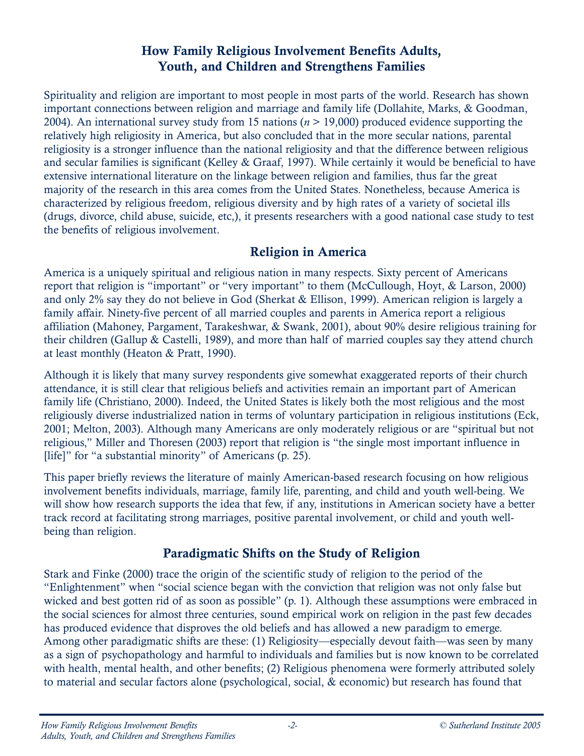# How Family Religious Involvement Benefits Adults, Youth, and Children and Strengthens Families

Spirituality and religion are important to most people in most parts of the world. Research has shown important connections between religion and marriage and family life (Dollahite, Marks, & Goodman, 2004). An international survey study from 15 nations ( $n > 19,000$ ) produced evidence supporting the relatively high religiosity in America, but also concluded that in the more secular nations, parental religiosity is a stronger influence than the national religiosity and that the difference between religious and secular families is significant (Kelley & Graaf, 1997). While certainly it would be beneficial to have extensive international literature on the linkage between religion and families, thus far the great majority of the research in this area comes from the United States. Nonetheless, because America is characterized by religious freedom, religious diversity and by high rates of a variety of societal ills (drugs, divorce, child abuse, suicide, etc,), it presents researchers with a good national case study to test the benefits of religious involvement.

# Religion in America

America is a uniquely spiritual and religious nation in many respects. Sixty percent of Americans report that religion is "important" or "very important" to them (McCullough, Hoyt, & Larson, 2000) and only 2% say they do not believe in God (Sherkat & Ellison, 1999). American religion is largely a family affair. Ninety-five percent of all married couples and parents in America report a religious affiliation (Mahoney, Pargament, Tarakeshwar, & Swank, 2001), about 90% desire religious training for their children (Gallup & Castelli, 1989), and more than half of married couples say they attend church at least monthly (Heaton & Pratt, 1990).

Although it is likely that many survey respondents give somewhat exaggerated reports of their church attendance, it is still clear that religious beliefs and activities remain an important part of American family life (Christiano, 2000). Indeed, the United States is likely both the most religious and the most religiously diverse industrialized nation in terms of voluntary participation in religious institutions (Eck, 2001; Melton, 2003). Although many Americans are only moderately religious or are "spiritual but not religious," Miller and Thoresen (2003) report that religion is "the single most important influence in [life]" for "a substantial minority" of Americans (p. 25).

This paper briefly reviews the literature of mainly American-based research focusing on how religious involvement benefits individuals, marriage, family life, parenting, and child and youth well-being. We will show how research supports the idea that few, if any, institutions in American society have a better track record at facilitating strong marriages, positive parental involvement, or child and youth wellbeing than religion.

# Paradigmatic Shifts on the Study of Religion

Stark and Finke (2000) trace the origin of the scientific study of religion to the period of the "Enlightenment" when "social science began with the conviction that religion was not only false but wicked and best gotten rid of as soon as possible" (p. 1). Although these assumptions were embraced in the social sciences for almost three centuries, sound empirical work on religion in the past few decades has produced evidence that disproves the old beliefs and has allowed a new paradigm to emerge. Among other paradigmatic shifts are these: (1) Religiosity—especially devout faith—was seen by many as a sign of psychopathology and harmful to individuals and families but is now known to be correlated with health, mental health, and other benefits; (2) Religious phenomena were formerly attributed solely to material and secular factors alone (psychological, social, & economic) but research has found that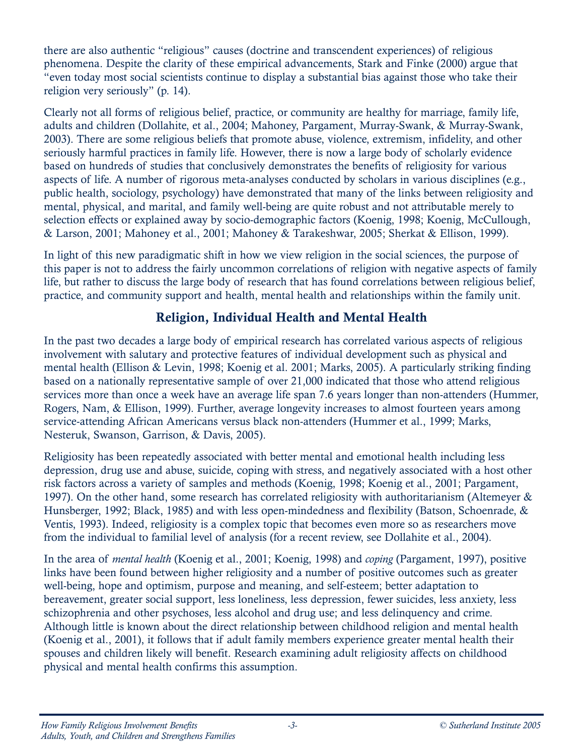there are also authentic "religious" causes (doctrine and transcendent experiences) of religious phenomena. Despite the clarity of these empirical advancements, Stark and Finke (2000) argue that "even today most social scientists continue to display a substantial bias against those who take their religion very seriously" (p. 14).

Clearly not all forms of religious belief, practice, or community are healthy for marriage, family life, adults and children (Dollahite, et al., 2004; Mahoney, Pargament, Murray-Swank, & Murray-Swank, 2003). There are some religious beliefs that promote abuse, violence, extremism, infidelity, and other seriously harmful practices in family life. However, there is now a large body of scholarly evidence based on hundreds of studies that conclusively demonstrates the benefits of religiosity for various aspects of life. A number of rigorous meta-analyses conducted by scholars in various disciplines (e.g., public health, sociology, psychology) have demonstrated that many of the links between religiosity and mental, physical, and marital, and family well-being are quite robust and not attributable merely to selection effects or explained away by socio-demographic factors (Koenig, 1998; Koenig, McCullough, & Larson, 2001; Mahoney et al., 2001; Mahoney & Tarakeshwar, 2005; Sherkat & Ellison, 1999).

In light of this new paradigmatic shift in how we view religion in the social sciences, the purpose of this paper is not to address the fairly uncommon correlations of religion with negative aspects of family life, but rather to discuss the large body of research that has found correlations between religious belief, practice, and community support and health, mental health and relationships within the family unit.

# Religion, Individual Health and Mental Health

In the past two decades a large body of empirical research has correlated various aspects of religious involvement with salutary and protective features of individual development such as physical and mental health (Ellison & Levin, 1998; Koenig et al. 2001; Marks, 2005). A particularly striking finding based on a nationally representative sample of over 21,000 indicated that those who attend religious services more than once a week have an average life span 7.6 years longer than non-attenders (Hummer, Rogers, Nam, & Ellison, 1999). Further, average longevity increases to almost fourteen years among service-attending African Americans versus black non-attenders (Hummer et al., 1999; Marks, Nesteruk, Swanson, Garrison, & Davis, 2005).

Religiosity has been repeatedly associated with better mental and emotional health including less depression, drug use and abuse, suicide, coping with stress, and negatively associated with a host other risk factors across a variety of samples and methods (Koenig, 1998; Koenig et al., 2001; Pargament, 1997). On the other hand, some research has correlated religiosity with authoritarianism (Altemeyer & Hunsberger, 1992; Black, 1985) and with less open-mindedness and flexibility (Batson, Schoenrade, & Ventis, 1993). Indeed, religiosity is a complex topic that becomes even more so as researchers move from the individual to familial level of analysis (for a recent review, see Dollahite et al., 2004).

In the area of mental health (Koenig et al., 2001; Koenig, 1998) and coping (Pargament, 1997), positive links have been found between higher religiosity and a number of positive outcomes such as greater well-being, hope and optimism, purpose and meaning, and self-esteem; better adaptation to bereavement, greater social support, less loneliness, less depression, fewer suicides, less anxiety, less schizophrenia and other psychoses, less alcohol and drug use; and less delinquency and crime. Although little is known about the direct relationship between childhood religion and mental health (Koenig et al., 2001), it follows that if adult family members experience greater mental health their spouses and children likely will benefit. Research examining adult religiosity affects on childhood physical and mental health confirms this assumption.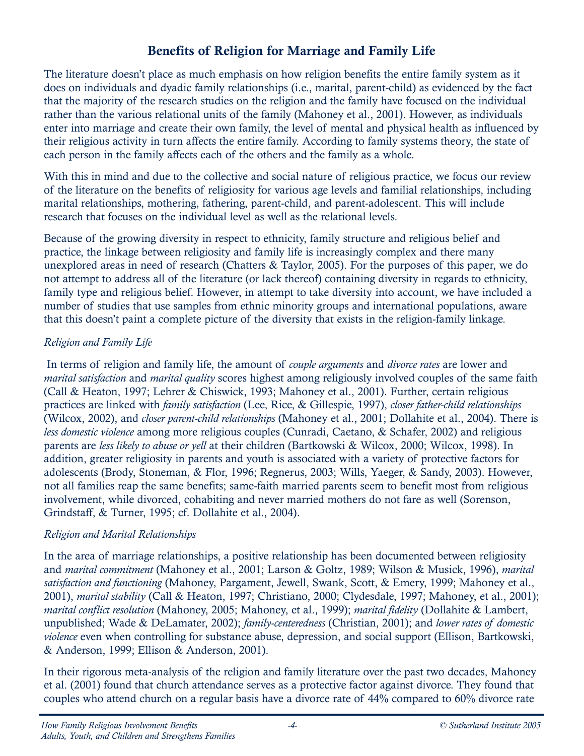# Benefits of Religion for Marriage and Family Life

The literature doesn't place as much emphasis on how religion benefits the entire family system as it does on individuals and dyadic family relationships (i.e., marital, parent-child) as evidenced by the fact that the majority of the research studies on the religion and the family have focused on the individual rather than the various relational units of the family (Mahoney et al., 2001). However, as individuals enter into marriage and create their own family, the level of mental and physical health as influenced by their religious activity in turn affects the entire family. According to family systems theory, the state of each person in the family affects each of the others and the family as a whole.

With this in mind and due to the collective and social nature of religious practice, we focus our review of the literature on the benefits of religiosity for various age levels and familial relationships, including marital relationships, mothering, fathering, parent-child, and parent-adolescent. This will include research that focuses on the individual level as well as the relational levels.

Because of the growing diversity in respect to ethnicity, family structure and religious belief and practice, the linkage between religiosity and family life is increasingly complex and there many unexplored areas in need of research (Chatters & Taylor, 2005). For the purposes of this paper, we do not attempt to address all of the literature (or lack thereof) containing diversity in regards to ethnicity, family type and religious belief. However, in attempt to take diversity into account, we have included a number of studies that use samples from ethnic minority groups and international populations, aware that this doesn't paint a complete picture of the diversity that exists in the religion-family linkage.

#### Religion and Family Life

In terms of religion and family life, the amount of *couple arguments* and *divorce rates* are lower and marital satisfaction and marital quality scores highest among religiously involved couples of the same faith (Call & Heaton, 1997; Lehrer & Chiswick, 1993; Mahoney et al., 2001). Further, certain religious practices are linked with family satisfaction (Lee, Rice, & Gillespie, 1997), closer father-child relationships (Wilcox, 2002), and closer parent-child relationships (Mahoney et al., 2001; Dollahite et al., 2004). There is less domestic violence among more religious couples (Cunradi, Caetano, & Schafer, 2002) and religious parents are less likely to abuse or yell at their children (Bartkowski & Wilcox, 2000; Wilcox, 1998). In addition, greater religiosity in parents and youth is associated with a variety of protective factors for adolescents (Brody, Stoneman, & Flor, 1996; Regnerus, 2003; Wills, Yaeger, & Sandy, 2003). However, not all families reap the same benefits; same-faith married parents seem to benefit most from religious involvement, while divorced, cohabiting and never married mothers do not fare as well (Sorenson, Grindstaff, & Turner, 1995; cf. Dollahite et al., 2004).

#### Religion and Marital Relationships

In the area of marriage relationships, a positive relationship has been documented between religiosity and marital commitment (Mahoney et al., 2001; Larson & Goltz, 1989; Wilson & Musick, 1996), marital satisfaction and functioning (Mahoney, Pargament, Jewell, Swank, Scott, & Emery, 1999; Mahoney et al., 2001), marital stability (Call & Heaton, 1997; Christiano, 2000; Clydesdale, 1997; Mahoney, et al., 2001); marital conflict resolution (Mahoney, 2005; Mahoney, et al., 1999); marital fidelity (Dollahite & Lambert, unpublished; Wade & DeLamater, 2002); family-centeredness (Christian, 2001); and lower rates of domestic violence even when controlling for substance abuse, depression, and social support (Ellison, Bartkowski, & Anderson, 1999; Ellison & Anderson, 2001).

In their rigorous meta-analysis of the religion and family literature over the past two decades, Mahoney et al. (2001) found that church attendance serves as a protective factor against divorce. They found that couples who attend church on a regular basis have a divorce rate of 44% compared to 60% divorce rate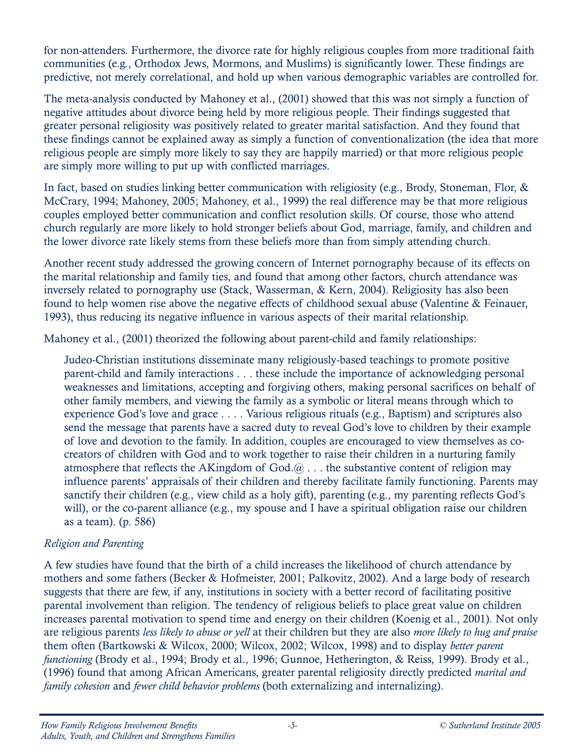for non-attenders. Furthermore, the divorce rate for highly religious couples from more traditional faith communities (e.g., Orthodox Jews, Mormons, and Muslims) is significantly lower. These findings are predictive, not merely correlational, and hold up when various demographic variables are controlled for.

The meta-analysis conducted by Mahoney et al., (2001) showed that this was not simply a function of negative attitudes about divorce being held by more religious people. Their findings suggested that greater personal religiosity was positively related to greater marital satisfaction. And they found that these findings cannot be explained away as simply a function of conventionalization (the idea that more religious people are simply more likely to say they are happily married) or that more religious people are simply more willing to put up with conflicted marriages.

In fact, based on studies linking better communication with religiosity (e.g., Brody, Stoneman, Flor, & McCrary, 1994; Mahoney, 2005; Mahoney, et al., 1999) the real difference may be that more religious couples employed better communication and conflict resolution skills. Of course, those who attend church regularly are more likely to hold stronger beliefs about God, marriage, family, and children and the lower divorce rate likely stems from these beliefs more than from simply attending church.

Another recent study addressed the growing concern of Internet pornography because of its effects on the marital relationship and family ties, and found that among other factors, church attendance was inversely related to pornography use (Stack, Wasserman, & Kern, 2004). Religiosity has also been found to help women rise above the negative effects of childhood sexual abuse (Valentine & Feinauer, 1993), thus reducing its negative influence in various aspects of their marital relationship.

Mahoney et al., (2001) theorized the following about parent-child and family relationships:

Judeo-Christian institutions disseminate many religiously-based teachings to promote positive parent-child and family interactions . . . these include the importance of acknowledging personal weaknesses and limitations, accepting and forgiving others, making personal sacrifices on behalf of other family members, and viewing the family as a symbolic or literal means through which to experience God's love and grace . . . . Various religious rituals (e.g., Baptism) and scriptures also send the message that parents have a sacred duty to reveal God's love to children by their example of love and devotion to the family. In addition, couples are encouraged to view themselves as cocreators of children with God and to work together to raise their children in a nurturing family atmosphere that reflects the AKingdom of  $God. @...$  the substantive content of religion may influence parents' appraisals of their children and thereby facilitate family functioning. Parents may sanctify their children (e.g., view child as a holy gift), parenting (e.g., my parenting reflects God's will), or the co-parent alliance (e.g., my spouse and I have a spiritual obligation raise our children as a team). (p. 586)

#### Religion and Parenting

A few studies have found that the birth of a child increases the likelihood of church attendance by mothers and some fathers (Becker & Hofmeister, 2001; Palkovitz, 2002). And a large body of research suggests that there are few, if any, institutions in society with a better record of facilitating positive parental involvement than religion. The tendency of religious beliefs to place great value on children increases parental motivation to spend time and energy on their children (Koenig et al., 2001). Not only are religious parents less likely to abuse or yell at their children but they are also more likely to hug and praise them often (Bartkowski & Wilcox, 2000; Wilcox, 2002; Wilcox, 1998) and to display better parent functioning (Brody et al., 1994; Brody et al., 1996; Gunnoe, Hetherington, & Reiss, 1999). Brody et al., (1996) found that among African Americans, greater parental religiosity directly predicted marital and family cohesion and fewer child behavior problems (both externalizing and internalizing).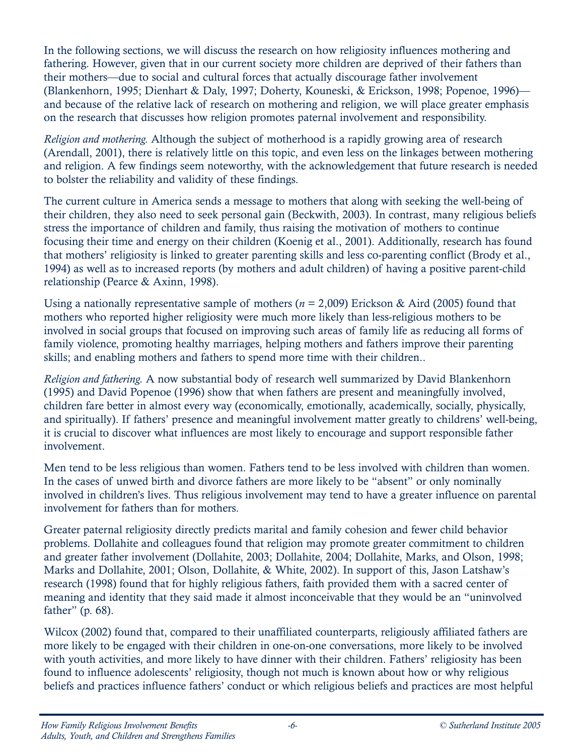In the following sections, we will discuss the research on how religiosity influences mothering and fathering. However, given that in our current society more children are deprived of their fathers than their mothers—due to social and cultural forces that actually discourage father involvement (Blankenhorn, 1995; Dienhart & Daly, 1997; Doherty, Kouneski, & Erickson, 1998; Popenoe, 1996) and because of the relative lack of research on mothering and religion, we will place greater emphasis on the research that discusses how religion promotes paternal involvement and responsibility.

Religion and mothering. Although the subject of motherhood is a rapidly growing area of research (Arendall, 2001), there is relatively little on this topic, and even less on the linkages between mothering and religion. A few findings seem noteworthy, with the acknowledgement that future research is needed to bolster the reliability and validity of these findings.

The current culture in America sends a message to mothers that along with seeking the well-being of their children, they also need to seek personal gain (Beckwith, 2003). In contrast, many religious beliefs stress the importance of children and family, thus raising the motivation of mothers to continue focusing their time and energy on their children (Koenig et al., 2001). Additionally, research has found that mothers' religiosity is linked to greater parenting skills and less co-parenting conflict (Brody et al., 1994) as well as to increased reports (by mothers and adult children) of having a positive parent-child relationship (Pearce & Axinn, 1998).

Using a nationally representative sample of mothers ( $n = 2,009$ ) Erickson & Aird (2005) found that mothers who reported higher religiosity were much more likely than less-religious mothers to be involved in social groups that focused on improving such areas of family life as reducing all forms of family violence, promoting healthy marriages, helping mothers and fathers improve their parenting skills; and enabling mothers and fathers to spend more time with their children..

Religion and fathering. A now substantial body of research well summarized by David Blankenhorn (1995) and David Popenoe (1996) show that when fathers are present and meaningfully involved, children fare better in almost every way (economically, emotionally, academically, socially, physically, and spiritually). If fathers' presence and meaningful involvement matter greatly to childrens' well-being, it is crucial to discover what influences are most likely to encourage and support responsible father involvement.

Men tend to be less religious than women. Fathers tend to be less involved with children than women. In the cases of unwed birth and divorce fathers are more likely to be "absent" or only nominally involved in children's lives. Thus religious involvement may tend to have a greater influence on parental involvement for fathers than for mothers.

Greater paternal religiosity directly predicts marital and family cohesion and fewer child behavior problems. Dollahite and colleagues found that religion may promote greater commitment to children and greater father involvement (Dollahite, 2003; Dollahite, 2004; Dollahite, Marks, and Olson, 1998; Marks and Dollahite, 2001; Olson, Dollahite, & White, 2002). In support of this, Jason Latshaw's research (1998) found that for highly religious fathers, faith provided them with a sacred center of meaning and identity that they said made it almost inconceivable that they would be an "uninvolved father" (p. 68).

Wilcox (2002) found that, compared to their unaffiliated counterparts, religiously affiliated fathers are more likely to be engaged with their children in one-on-one conversations, more likely to be involved with youth activities, and more likely to have dinner with their children. Fathers' religiosity has been found to influence adolescents' religiosity, though not much is known about how or why religious beliefs and practices influence fathers' conduct or which religious beliefs and practices are most helpful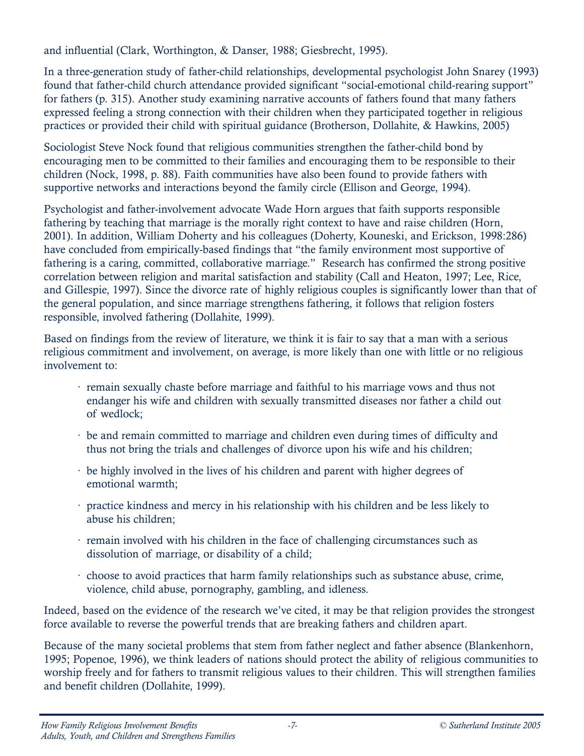and influential (Clark, Worthington, & Danser, 1988; Giesbrecht, 1995).

In a three-generation study of father-child relationships, developmental psychologist John Snarey (1993) found that father-child church attendance provided significant "social-emotional child-rearing support" for fathers (p. 315). Another study examining narrative accounts of fathers found that many fathers expressed feeling a strong connection with their children when they participated together in religious practices or provided their child with spiritual guidance (Brotherson, Dollahite, & Hawkins, 2005)

Sociologist Steve Nock found that religious communities strengthen the father-child bond by encouraging men to be committed to their families and encouraging them to be responsible to their children (Nock, 1998, p. 88). Faith communities have also been found to provide fathers with supportive networks and interactions beyond the family circle (Ellison and George, 1994).

Psychologist and father-involvement advocate Wade Horn argues that faith supports responsible fathering by teaching that marriage is the morally right context to have and raise children (Horn, 2001). In addition, William Doherty and his colleagues (Doherty, Kouneski, and Erickson, 1998:286) have concluded from empirically-based findings that "the family environment most supportive of fathering is a caring, committed, collaborative marriage." Research has confirmed the strong positive correlation between religion and marital satisfaction and stability (Call and Heaton, 1997; Lee, Rice, and Gillespie, 1997). Since the divorce rate of highly religious couples is significantly lower than that of the general population, and since marriage strengthens fathering, it follows that religion fosters responsible, involved fathering (Dollahite, 1999).

Based on findings from the review of literature, we think it is fair to say that a man with a serious religious commitment and involvement, on average, is more likely than one with little or no religious involvement to:

- · remain sexually chaste before marriage and faithful to his marriage vows and thus not endanger his wife and children with sexually transmitted diseases nor father a child out of wedlock;
- · be and remain committed to marriage and children even during times of difficulty and thus not bring the trials and challenges of divorce upon his wife and his children;
- · be highly involved in the lives of his children and parent with higher degrees of emotional warmth;
- · practice kindness and mercy in his relationship with his children and be less likely to abuse his children;
- · remain involved with his children in the face of challenging circumstances such as dissolution of marriage, or disability of a child;
- · choose to avoid practices that harm family relationships such as substance abuse, crime, violence, child abuse, pornography, gambling, and idleness.

Indeed, based on the evidence of the research we've cited, it may be that religion provides the strongest force available to reverse the powerful trends that are breaking fathers and children apart.

Because of the many societal problems that stem from father neglect and father absence (Blankenhorn, 1995; Popenoe, 1996), we think leaders of nations should protect the ability of religious communities to worship freely and for fathers to transmit religious values to their children. This will strengthen families and benefit children (Dollahite, 1999).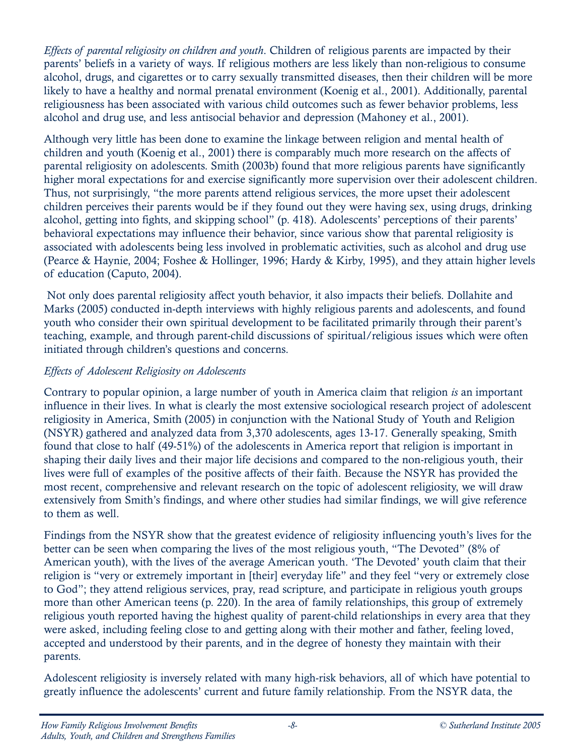Effects of parental religiosity on children and youth. Children of religious parents are impacted by their parents' beliefs in a variety of ways. If religious mothers are less likely than non-religious to consume alcohol, drugs, and cigarettes or to carry sexually transmitted diseases, then their children will be more likely to have a healthy and normal prenatal environment (Koenig et al., 2001). Additionally, parental religiousness has been associated with various child outcomes such as fewer behavior problems, less alcohol and drug use, and less antisocial behavior and depression (Mahoney et al., 2001).

Although very little has been done to examine the linkage between religion and mental health of children and youth (Koenig et al., 2001) there is comparably much more research on the affects of parental religiosity on adolescents. Smith (2003b) found that more religious parents have significantly higher moral expectations for and exercise significantly more supervision over their adolescent children. Thus, not surprisingly, "the more parents attend religious services, the more upset their adolescent children perceives their parents would be if they found out they were having sex, using drugs, drinking alcohol, getting into fights, and skipping school" (p. 418). Adolescents' perceptions of their parents' behavioral expectations may influence their behavior, since various show that parental religiosity is associated with adolescents being less involved in problematic activities, such as alcohol and drug use (Pearce & Haynie, 2004; Foshee & Hollinger, 1996; Hardy & Kirby, 1995), and they attain higher levels of education (Caputo, 2004).

Not only does parental religiosity affect youth behavior, it also impacts their beliefs. Dollahite and Marks (2005) conducted in-depth interviews with highly religious parents and adolescents, and found youth who consider their own spiritual development to be facilitated primarily through their parent's teaching, example, and through parent-child discussions of spiritual/religious issues which were often initiated through children's questions and concerns.

#### Effects of Adolescent Religiosity on Adolescents

Contrary to popular opinion, a large number of youth in America claim that religion is an important influence in their lives. In what is clearly the most extensive sociological research project of adolescent religiosity in America, Smith (2005) in conjunction with the National Study of Youth and Religion (NSYR) gathered and analyzed data from 3,370 adolescents, ages 13-17. Generally speaking, Smith found that close to half (49-51%) of the adolescents in America report that religion is important in shaping their daily lives and their major life decisions and compared to the non-religious youth, their lives were full of examples of the positive affects of their faith. Because the NSYR has provided the most recent, comprehensive and relevant research on the topic of adolescent religiosity, we will draw extensively from Smith's findings, and where other studies had similar findings, we will give reference to them as well.

Findings from the NSYR show that the greatest evidence of religiosity influencing youth's lives for the better can be seen when comparing the lives of the most religious youth, "The Devoted" (8% of American youth), with the lives of the average American youth. 'The Devoted' youth claim that their religion is "very or extremely important in [their] everyday life" and they feel "very or extremely close to God"; they attend religious services, pray, read scripture, and participate in religious youth groups more than other American teens (p. 220). In the area of family relationships, this group of extremely religious youth reported having the highest quality of parent-child relationships in every area that they were asked, including feeling close to and getting along with their mother and father, feeling loved, accepted and understood by their parents, and in the degree of honesty they maintain with their parents.

Adolescent religiosity is inversely related with many high-risk behaviors, all of which have potential to greatly influence the adolescents' current and future family relationship. From the NSYR data, the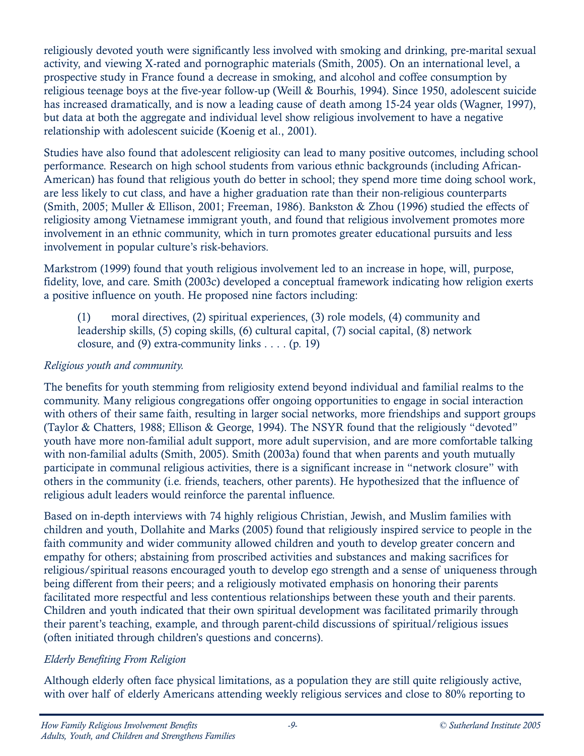religiously devoted youth were significantly less involved with smoking and drinking, pre-marital sexual activity, and viewing X-rated and pornographic materials (Smith, 2005). On an international level, a prospective study in France found a decrease in smoking, and alcohol and coffee consumption by religious teenage boys at the five-year follow-up (Weill & Bourhis, 1994). Since 1950, adolescent suicide has increased dramatically, and is now a leading cause of death among 15-24 year olds (Wagner, 1997), but data at both the aggregate and individual level show religious involvement to have a negative relationship with adolescent suicide (Koenig et al., 2001).

Studies have also found that adolescent religiosity can lead to many positive outcomes, including school performance. Research on high school students from various ethnic backgrounds (including African-American) has found that religious youth do better in school; they spend more time doing school work, are less likely to cut class, and have a higher graduation rate than their non-religious counterparts (Smith, 2005; Muller & Ellison, 2001; Freeman, 1986). Bankston & Zhou (1996) studied the effects of religiosity among Vietnamese immigrant youth, and found that religious involvement promotes more involvement in an ethnic community, which in turn promotes greater educational pursuits and less involvement in popular culture's risk-behaviors.

Markstrom (1999) found that youth religious involvement led to an increase in hope, will, purpose, fidelity, love, and care. Smith (2003c) developed a conceptual framework indicating how religion exerts a positive influence on youth. He proposed nine factors including:

(1) moral directives, (2) spiritual experiences, (3) role models, (4) community and leadership skills, (5) coping skills, (6) cultural capital, (7) social capital, (8) network closure, and  $(9)$  extra-community links . . . .  $(p. 19)$ 

#### Religious youth and community.

The benefits for youth stemming from religiosity extend beyond individual and familial realms to the community. Many religious congregations offer ongoing opportunities to engage in social interaction with others of their same faith, resulting in larger social networks, more friendships and support groups (Taylor & Chatters, 1988; Ellison & George, 1994). The NSYR found that the religiously "devoted" youth have more non-familial adult support, more adult supervision, and are more comfortable talking with non-familial adults (Smith, 2005). Smith (2003a) found that when parents and youth mutually participate in communal religious activities, there is a significant increase in "network closure" with others in the community (i.e. friends, teachers, other parents). He hypothesized that the influence of religious adult leaders would reinforce the parental influence.

Based on in-depth interviews with 74 highly religious Christian, Jewish, and Muslim families with children and youth, Dollahite and Marks (2005) found that religiously inspired service to people in the faith community and wider community allowed children and youth to develop greater concern and empathy for others; abstaining from proscribed activities and substances and making sacrifices for religious/spiritual reasons encouraged youth to develop ego strength and a sense of uniqueness through being different from their peers; and a religiously motivated emphasis on honoring their parents facilitated more respectful and less contentious relationships between these youth and their parents. Children and youth indicated that their own spiritual development was facilitated primarily through their parent's teaching, example, and through parent-child discussions of spiritual/religious issues (often initiated through children's questions and concerns).

#### Elderly Benefiting From Religion

Although elderly often face physical limitations, as a population they are still quite religiously active, with over half of elderly Americans attending weekly religious services and close to 80% reporting to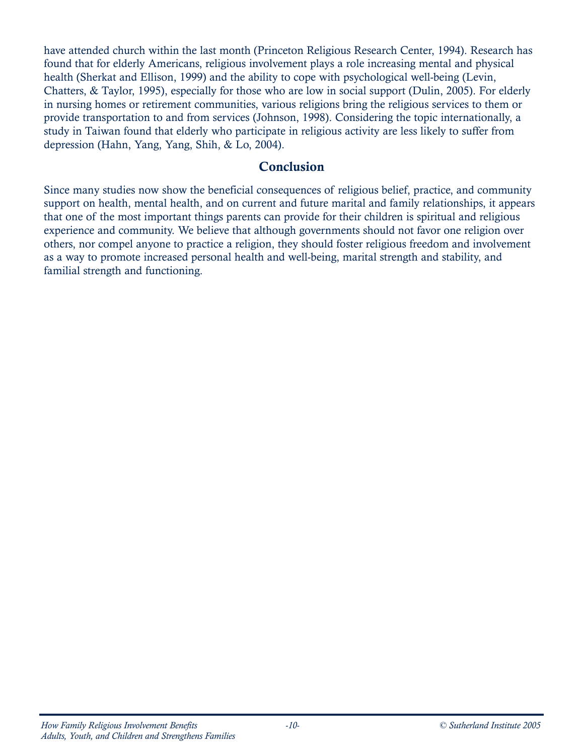have attended church within the last month (Princeton Religious Research Center, 1994). Research has found that for elderly Americans, religious involvement plays a role increasing mental and physical health (Sherkat and Ellison, 1999) and the ability to cope with psychological well-being (Levin, Chatters, & Taylor, 1995), especially for those who are low in social support (Dulin, 2005). For elderly in nursing homes or retirement communities, various religions bring the religious services to them or provide transportation to and from services (Johnson, 1998). Considering the topic internationally, a study in Taiwan found that elderly who participate in religious activity are less likely to suffer from depression (Hahn, Yang, Yang, Shih, & Lo, 2004).

#### Conclusion

Since many studies now show the beneficial consequences of religious belief, practice, and community support on health, mental health, and on current and future marital and family relationships, it appears that one of the most important things parents can provide for their children is spiritual and religious experience and community. We believe that although governments should not favor one religion over others, nor compel anyone to practice a religion, they should foster religious freedom and involvement as a way to promote increased personal health and well-being, marital strength and stability, and familial strength and functioning.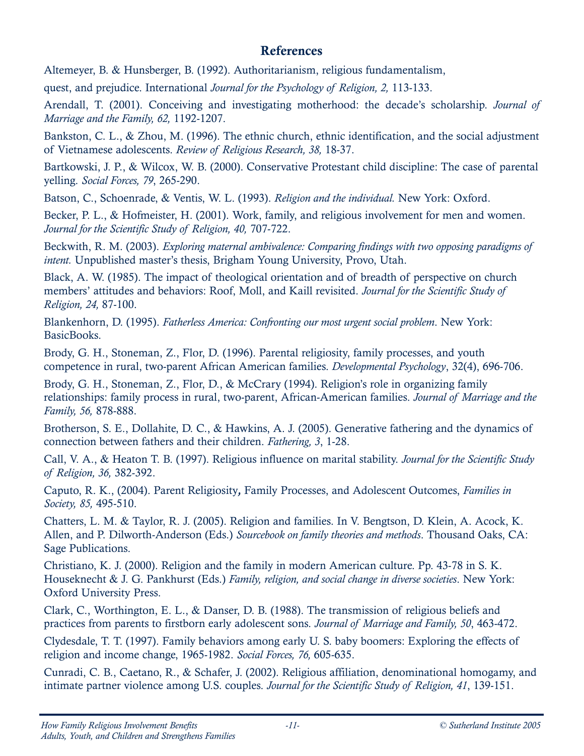#### References

Altemeyer, B. & Hunsberger, B. (1992). Authoritarianism, religious fundamentalism,

quest, and prejudice. International Journal for the Psychology of Religion, 2, 113-133.

Arendall, T. (2001). Conceiving and investigating motherhood: the decade's scholarship. Journal of Marriage and the Family, 62, 1192-1207.

Bankston, C. L., & Zhou, M. (1996). The ethnic church, ethnic identification, and the social adjustment of Vietnamese adolescents. Review of Religious Research, 38, 18-37.

Bartkowski, J. P., & Wilcox, W. B. (2000). Conservative Protestant child discipline: The case of parental yelling. Social Forces, 79, 265-290.

Batson, C., Schoenrade, & Ventis, W. L. (1993). Religion and the individual. New York: Oxford.

Becker, P. L., & Hofmeister, H. (2001). Work, family, and religious involvement for men and women. Journal for the Scientific Study of Religion, 40, 707-722.

Beckwith, R. M. (2003). Exploring maternal ambivalence: Comparing findings with two opposing paradigms of intent. Unpublished master's thesis, Brigham Young University, Provo, Utah.

Black, A. W. (1985). The impact of theological orientation and of breadth of perspective on church members' attitudes and behaviors: Roof, Moll, and Kaill revisited. Journal for the Scientific Study of Religion, 24, 87-100.

Blankenhorn, D. (1995). Fatherless America: Confronting our most urgent social problem. New York: BasicBooks.

Brody, G. H., Stoneman, Z., Flor, D. (1996). Parental religiosity, family processes, and youth competence in rural, two-parent African American families. Developmental Psychology, 32(4), 696-706.

Brody, G. H., Stoneman, Z., Flor, D., & McCrary (1994). Religion's role in organizing family relationships: family process in rural, two-parent, African-American families. Journal of Marriage and the Family, 56, 878-888.

Brotherson, S. E., Dollahite, D. C., & Hawkins, A. J. (2005). Generative fathering and the dynamics of connection between fathers and their children. Fathering, 3, 1-28.

Call, V. A., & Heaton T. B. (1997). Religious influence on marital stability. Journal for the Scientific Study of Religion, 36, 382-392.

Caputo, R. K., (2004). Parent Religiosity, Family Processes, and Adolescent Outcomes, Families in Society, 85, 495-510.

Chatters, L. M. & Taylor, R. J. (2005). Religion and families. In V. Bengtson, D. Klein, A. Acock, K. Allen, and P. Dilworth-Anderson (Eds.) Sourcebook on family theories and methods. Thousand Oaks, CA: Sage Publications.

Christiano, K. J. (2000). Religion and the family in modern American culture. Pp. 43-78 in S. K. Houseknecht & J. G. Pankhurst (Eds.) Family, religion, and social change in diverse societies. New York: Oxford University Press.

Clark, C., Worthington, E. L., & Danser, D. B. (1988). The transmission of religious beliefs and practices from parents to firstborn early adolescent sons. Journal of Marriage and Family, 50, 463-472.

Clydesdale, T. T. (1997). Family behaviors among early U. S. baby boomers: Exploring the effects of religion and income change, 1965-1982. Social Forces, 76, 605-635.

Cunradi, C. B., Caetano, R., & Schafer, J. (2002). Religious affiliation, denominational homogamy, and intimate partner violence among U.S. couples. Journal for the Scientific Study of Religion, 41, 139-151.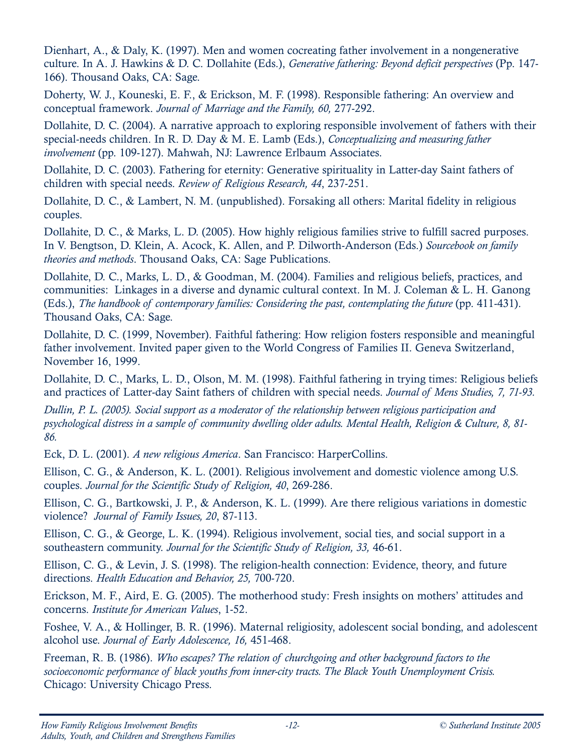Dienhart, A., & Daly, K. (1997). Men and women cocreating father involvement in a nongenerative culture. In A. J. Hawkins & D. C. Dollahite (Eds.), Generative fathering: Beyond deficit perspectives (Pp. 147- 166). Thousand Oaks, CA: Sage.

Doherty, W. J., Kouneski, E. F., & Erickson, M. F. (1998). Responsible fathering: An overview and conceptual framework. Journal of Marriage and the Family, 60, 277-292.

Dollahite, D. C. (2004). A narrative approach to exploring responsible involvement of fathers with their special-needs children. In R. D. Day & M. E. Lamb (Eds.), *Conceptualizing and measuring father* involvement (pp. 109-127). Mahwah, NJ: Lawrence Erlbaum Associates.

Dollahite, D. C. (2003). Fathering for eternity: Generative spirituality in Latter-day Saint fathers of children with special needs. Review of Religious Research, 44, 237-251.

Dollahite, D. C., & Lambert, N. M. (unpublished). Forsaking all others: Marital fidelity in religious couples.

Dollahite, D. C., & Marks, L. D. (2005). How highly religious families strive to fulfill sacred purposes. In V. Bengtson, D. Klein, A. Acock, K. Allen, and P. Dilworth-Anderson (Eds.) Sourcebook on family theories and methods. Thousand Oaks, CA: Sage Publications.

Dollahite, D. C., Marks, L. D., & Goodman, M. (2004). Families and religious beliefs, practices, and communities: Linkages in a diverse and dynamic cultural context. In M. J. Coleman & L. H. Ganong (Eds.), The handbook of contemporary families: Considering the past, contemplating the future (pp. 411-431). Thousand Oaks, CA: Sage.

Dollahite, D. C. (1999, November). Faithful fathering: How religion fosters responsible and meaningful father involvement. Invited paper given to the World Congress of Families II. Geneva Switzerland, November 16, 1999.

Dollahite, D. C., Marks, L. D., Olson, M. M. (1998). Faithful fathering in trying times: Religious beliefs and practices of Latter-day Saint fathers of children with special needs. Journal of Mens Studies, 7, 71-93.

Dullin, P. L. (2005). Social support as a moderator of the relationship between religious participation and psychological distress in a sample of community dwelling older adults. Mental Health, Religion & Culture, 8, 81- 86.

Eck, D. L. (2001). A new religious America. San Francisco: HarperCollins.

Ellison, C. G., & Anderson, K. L. (2001). Religious involvement and domestic violence among U.S. couples. Journal for the Scientific Study of Religion, 40, 269-286.

Ellison, C. G., Bartkowski, J. P., & Anderson, K. L. (1999). Are there religious variations in domestic violence? Journal of Family Issues, 20, 87-113.

Ellison, C. G., & George, L. K. (1994). Religious involvement, social ties, and social support in a southeastern community. Journal for the Scientific Study of Religion, 33, 46-61.

Ellison, C. G., & Levin, J. S. (1998). The religion-health connection: Evidence, theory, and future directions. Health Education and Behavior, 25, 700-720.

Erickson, M. F., Aird, E. G. (2005). The motherhood study: Fresh insights on mothers' attitudes and concerns. Institute for American Values, 1-52.

Foshee, V. A., & Hollinger, B. R. (1996). Maternal religiosity, adolescent social bonding, and adolescent alcohol use. Journal of Early Adolescence, 16, 451-468.

Freeman, R. B. (1986). Who escapes? The relation of churchgoing and other background factors to the socioeconomic performance of black youths from inner-city tracts. The Black Youth Unemployment Crisis. Chicago: University Chicago Press.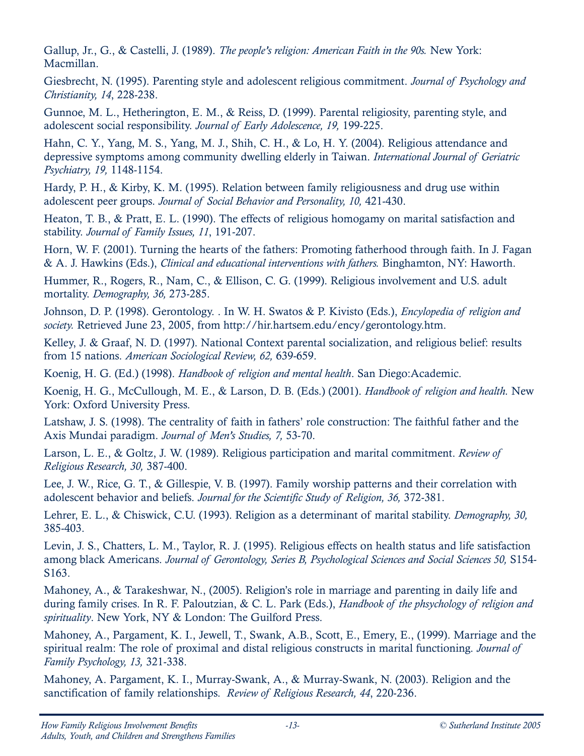Gallup, Jr., G., & Castelli, J. (1989). The people's religion: American Faith in the 90s. New York: Macmillan.

Giesbrecht, N. (1995). Parenting style and adolescent religious commitment. Journal of Psychology and Christianity, 14, 228-238.

Gunnoe, M. L., Hetherington, E. M., & Reiss, D. (1999). Parental religiosity, parenting style, and adolescent social responsibility. Journal of Early Adolescence, 19, 199-225.

Hahn, C. Y., Yang, M. S., Yang, M. J., Shih, C. H., & Lo, H. Y. (2004). Religious attendance and depressive symptoms among community dwelling elderly in Taiwan. International Journal of Geriatric Psychiatry, 19, 1148-1154.

Hardy, P. H., & Kirby, K. M. (1995). Relation between family religiousness and drug use within adolescent peer groups. Journal of Social Behavior and Personality, 10, 421-430.

Heaton, T. B., & Pratt, E. L. (1990). The effects of religious homogamy on marital satisfaction and stability. Journal of Family Issues, 11, 191-207.

Horn, W. F. (2001). Turning the hearts of the fathers: Promoting fatherhood through faith. In J. Fagan & A. J. Hawkins (Eds.), Clinical and educational interventions with fathers. Binghamton, NY: Haworth.

Hummer, R., Rogers, R., Nam, C., & Ellison, C. G. (1999). Religious involvement and U.S. adult mortality. Demography, 36, 273-285.

Johnson, D. P. (1998). Gerontology. . In W. H. Swatos & P. Kivisto (Eds.), Encylopedia of religion and society. Retrieved June 23, 2005, from http://hir.hartsem.edu/ency/gerontology.htm.

Kelley, J. & Graaf, N. D. (1997). National Context parental socialization, and religious belief: results from 15 nations. American Sociological Review, 62, 639-659.

Koenig, H. G. (Ed.) (1998). Handbook of religion and mental health. San Diego:Academic.

Koenig, H. G., McCullough, M. E., & Larson, D. B. (Eds.) (2001). Handbook of religion and health. New York: Oxford University Press.

Latshaw, J. S. (1998). The centrality of faith in fathers' role construction: The faithful father and the Axis Mundai paradigm. Journal of Men's Studies, 7, 53-70.

Larson, L. E., & Goltz, J. W. (1989). Religious participation and marital commitment. Review of Religious Research, 30, 387-400.

Lee, J. W., Rice, G. T., & Gillespie, V. B. (1997). Family worship patterns and their correlation with adolescent behavior and beliefs. Journal for the Scientific Study of Religion, 36, 372-381.

Lehrer, E. L., & Chiswick, C.U. (1993). Religion as a determinant of marital stability. *Demography*, 30, 385-403.

Levin, J. S., Chatters, L. M., Taylor, R. J. (1995). Religious effects on health status and life satisfaction among black Americans. Journal of Gerontology, Series B, Psychological Sciences and Social Sciences 50, S154- S163.

Mahoney, A., & Tarakeshwar, N., (2005). Religion's role in marriage and parenting in daily life and during family crises. In R. F. Paloutzian, & C. L. Park (Eds.), Handbook of the phsychology of religion and spirituality. New York, NY & London: The Guilford Press.

Mahoney, A., Pargament, K. I., Jewell, T., Swank, A.B., Scott, E., Emery, E., (1999). Marriage and the spiritual realm: The role of proximal and distal religious constructs in marital functioning. Journal of Family Psychology, 13, 321-338.

Mahoney, A. Pargament, K. I., Murray-Swank, A., & Murray-Swank, N. (2003). Religion and the sanctification of family relationships. Review of Religious Research, 44, 220-236.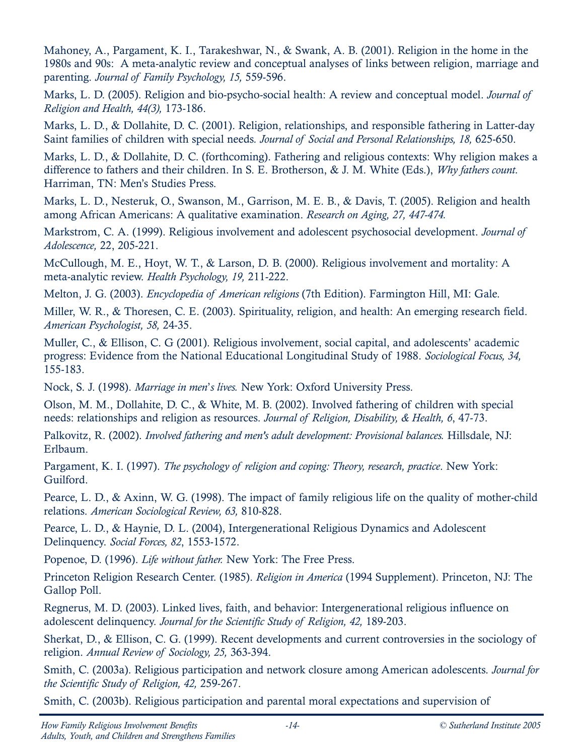Mahoney, A., Pargament, K. I., Tarakeshwar, N., & Swank, A. B. (2001). Religion in the home in the 1980s and 90s: A meta-analytic review and conceptual analyses of links between religion, marriage and parenting. Journal of Family Psychology, 15, 559-596.

Marks, L. D. (2005). Religion and bio-psycho-social health: A review and conceptual model. *Journal of* Religion and Health, 44(3), 173-186.

Marks, L. D., & Dollahite, D. C. (2001). Religion, relationships, and responsible fathering in Latter-day Saint families of children with special needs. Journal of Social and Personal Relationships, 18, 625-650.

Marks, L. D., & Dollahite, D. C. (forthcoming). Fathering and religious contexts: Why religion makes a difference to fathers and their children. In S. E. Brotherson, & J. M. White (Eds.), Why fathers count. Harriman, TN: Men's Studies Press.

Marks, L. D., Nesteruk, O., Swanson, M., Garrison, M. E. B., & Davis, T. (2005). Religion and health among African Americans: A qualitative examination. Research on Aging, 27, 447-474.

Markstrom, C. A. (1999). Religious involvement and adolescent psychosocial development. Journal of Adolescence, 22, 205-221.

McCullough, M. E., Hoyt, W. T., & Larson, D. B. (2000). Religious involvement and mortality: A meta-analytic review. Health Psychology, 19, 211-222.

Melton, J. G. (2003). Encyclopedia of American religions (7th Edition). Farmington Hill, MI: Gale.

Miller, W. R., & Thoresen, C. E. (2003). Spirituality, religion, and health: An emerging research field. American Psychologist, 58, 24-35.

Muller, C., & Ellison, C. G (2001). Religious involvement, social capital, and adolescents' academic progress: Evidence from the National Educational Longitudinal Study of 1988. Sociological Focus, 34, 155-183.

Nock, S. J. (1998). Marriage in men's lives. New York: Oxford University Press.

Olson, M. M., Dollahite, D. C., & White, M. B. (2002). Involved fathering of children with special needs: relationships and religion as resources. Journal of Religion, Disability, & Health, 6, 47-73.

Palkovitz, R. (2002). Involved fathering and men's adult development: Provisional balances. Hillsdale, NJ: Erlbaum.

Pargament, K. I. (1997). The psychology of religion and coping: Theory, research, practice. New York: Guilford.

Pearce, L. D., & Axinn, W. G. (1998). The impact of family religious life on the quality of mother-child relations. American Sociological Review, 63, 810-828.

Pearce, L. D., & Haynie, D. L. (2004), Intergenerational Religious Dynamics and Adolescent Delinquency. Social Forces, 82, 1553-1572.

Popenoe, D. (1996). Life without father. New York: The Free Press.

Princeton Religion Research Center. (1985). Religion in America (1994 Supplement). Princeton, NJ: The Gallop Poll.

Regnerus, M. D. (2003). Linked lives, faith, and behavior: Intergenerational religious influence on adolescent delinquency. Journal for the Scientific Study of Religion, 42, 189-203.

Sherkat, D., & Ellison, C. G. (1999). Recent developments and current controversies in the sociology of religion. Annual Review of Sociology, 25, 363-394.

Smith, C. (2003a). Religious participation and network closure among American adolescents. *Journal for* the Scientific Study of Religion, 42, 259-267.

Smith, C. (2003b). Religious participation and parental moral expectations and supervision of